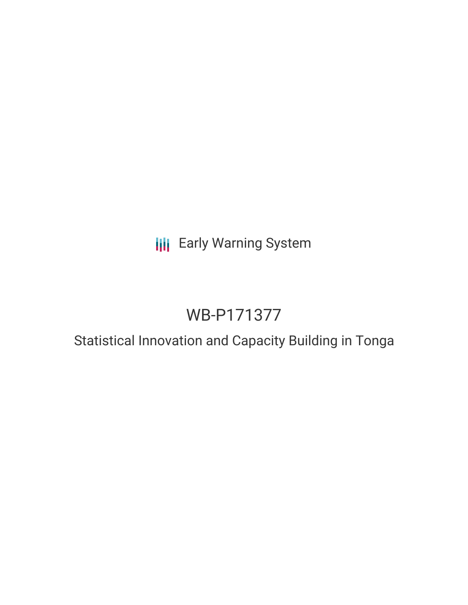## **III** Early Warning System

# WB-P171377

## Statistical Innovation and Capacity Building in Tonga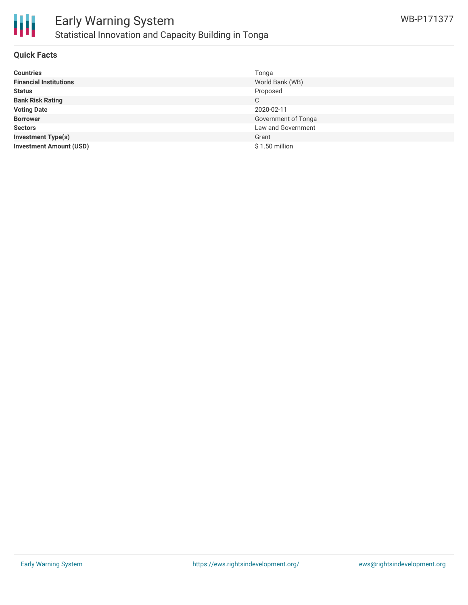

#### **Quick Facts**

| <b>Countries</b>               | Tonga               |
|--------------------------------|---------------------|
| <b>Financial Institutions</b>  | World Bank (WB)     |
| <b>Status</b>                  | Proposed            |
| <b>Bank Risk Rating</b>        | C                   |
| <b>Voting Date</b>             | 2020-02-11          |
| <b>Borrower</b>                | Government of Tonga |
| <b>Sectors</b>                 | Law and Government  |
| <b>Investment Type(s)</b>      | Grant               |
| <b>Investment Amount (USD)</b> | $$1.50$ million     |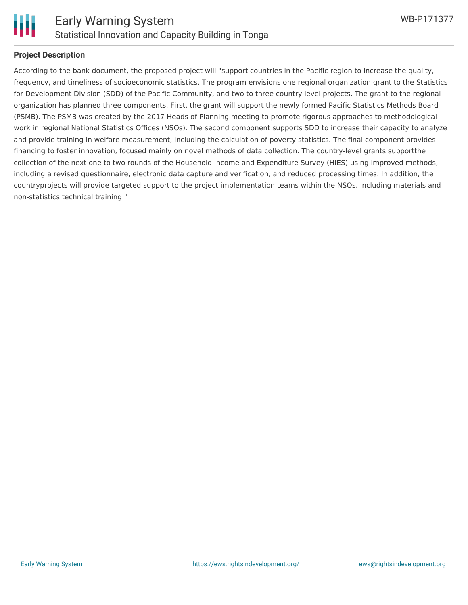

#### **Project Description**

According to the bank document, the proposed project will "support countries in the Pacific region to increase the quality, frequency, and timeliness of socioeconomic statistics. The program envisions one regional organization grant to the Statistics for Development Division (SDD) of the Pacific Community, and two to three country level projects. The grant to the regional organization has planned three components. First, the grant will support the newly formed Pacific Statistics Methods Board (PSMB). The PSMB was created by the 2017 Heads of Planning meeting to promote rigorous approaches to methodological work in regional National Statistics Offices (NSOs). The second component supports SDD to increase their capacity to analyze and provide training in welfare measurement, including the calculation of poverty statistics. The final component provides financing to foster innovation, focused mainly on novel methods of data collection. The country-level grants supportthe collection of the next one to two rounds of the Household Income and Expenditure Survey (HIES) using improved methods, including a revised questionnaire, electronic data capture and verification, and reduced processing times. In addition, the countryprojects will provide targeted support to the project implementation teams within the NSOs, including materials and non-statistics technical training."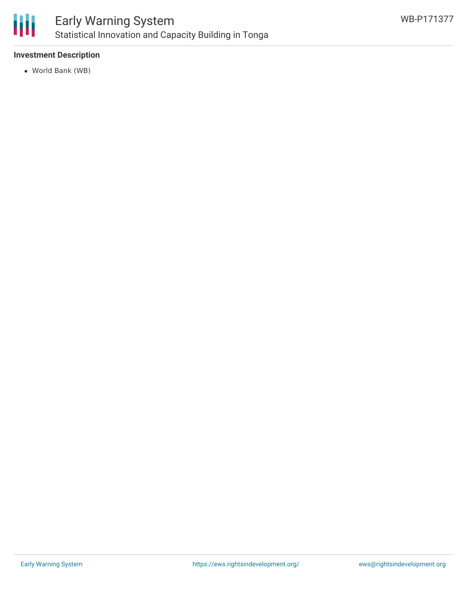

#### **Investment Description**

World Bank (WB)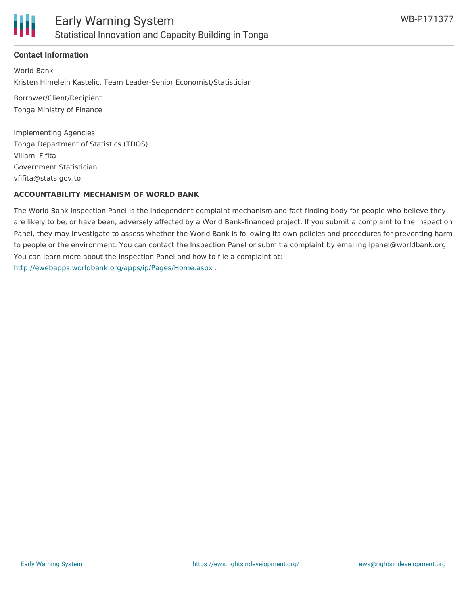

#### **Contact Information**

World Bank Kristen Himelein Kastelic, Team Leader-Senior Economist/Statistician

Borrower/Client/Recipient Tonga Ministry of Finance

Implementing Agencies Tonga Department of Statistics (TDOS) Viliami Fifita Government Statistician vfifita@stats.gov.to

#### **ACCOUNTABILITY MECHANISM OF WORLD BANK**

The World Bank Inspection Panel is the independent complaint mechanism and fact-finding body for people who believe they are likely to be, or have been, adversely affected by a World Bank-financed project. If you submit a complaint to the Inspection Panel, they may investigate to assess whether the World Bank is following its own policies and procedures for preventing harm to people or the environment. You can contact the Inspection Panel or submit a complaint by emailing ipanel@worldbank.org. You can learn more about the Inspection Panel and how to file a complaint at: <http://ewebapps.worldbank.org/apps/ip/Pages/Home.aspx> .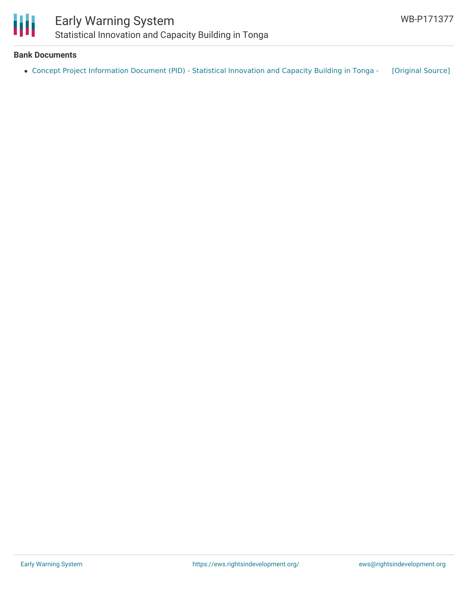

#### **Bank Documents**

Concept Project [Information](https://ewsdata.rightsindevelopment.org/files/documents/77/WB-P171377.pdf) Document (PID) - Statistical Innovation and Capacity Building in Tonga - [\[Original](http://documents.worldbank.org/curated/en/393971568929054793/pdf/Concept-Project-Information-Document-PID-Statistical-Innovation-and-Capacity-Building-in-Tonga-P171377.pdf) Source]